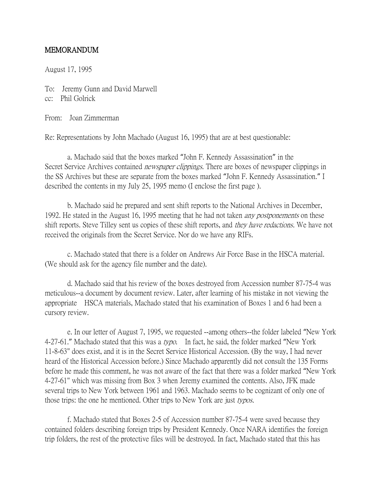## MEMORANDUM

August 17, 1995

To: Jeremy Gunn and David Marwell cc: Phil Golrick

From: Joan Zimmerman

Re: Representations by John Machado (August 16, 1995) that are at best questionable:

a. Machado said that the boxes marked "John F. Kennedy Assassination" in the Secret Service Archives contained *newspaper clippings*. There are boxes of newspaper clippings in the SS Archives but these are separate from the boxes marked "John F. Kennedy Assassination." I described the contents in my July 25, 1995 memo (I enclose the first page ).

b. Machado said he prepared and sent shift reports to the National Archives in December, 1992. He stated in the August 16, 1995 meeting that he had not taken *any postponements* on these shift reports. Steve Tilley sent us copies of these shift reports, and *they have redactions*. We have not received the originals from the Secret Service. Nor do we have any RIFs.

c. Machado stated that there is a folder on Andrews Air Force Base in the HSCA material. (We should ask for the agency file number and the date).

d. Machado said that his review of the boxes destroyed from Accession number 87-75-4 was meticulous--a document by document review. Later, after learning of his mistake in not viewing the appropriate HSCA materials, Machado stated that his examination of Boxes 1 and 6 had been a cursory review.

e. In our letter of August 7, 1995, we requested --among others--the folder labeled "New York 4-27-61." Machado stated that this was a typo. In fact, he said, the folder marked "New York" 11-8-63" does exist, and it is in the Secret Service Historical Accession. (By the way, I had never heard of the Historical Accession before.) Since Machado apparently did not consult the 135 Forms before he made this comment, he was not aware of the fact that there was a folder marked "New York 4-27-61" which was missing from Box 3 when Jeremy examined the contents. Also, JFK made several trips to New York between 1961 and 1963. Machado seems to be cognizant of only one of those trips: the one he mentioned. Other trips to New York are just typos.

f. Machado stated that Boxes 2-5 of Accession number 87-75-4 were saved because they contained folders describing foreign trips by President Kennedy. Once NARA identifies the foreign trip folders, the rest of the protective files will be destroyed. In fact, Machado stated that this has